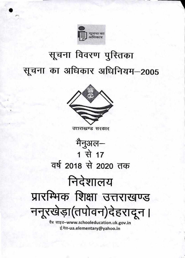

# सूचना विवरण पुस्तिका सूचना का अधिकार अधिनियम-2005



# उत्तराखण्ड सरकार मैनुअल— 1 से 17 वर्ष 2018 से 2020 तक

# निदेशालय प्रारम्भिक शिक्षा उत्तराखण्ड ननूरखेड़ा(तपोवन)देहरादून।

वैब साइड–www.schooleducation.uk.gov.in ई.मेल-ua.elementary@yahoo.in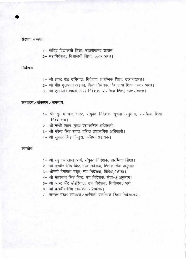#### संरक्षक मण्डल:

- 1- सचिव विद्यालयी शिक्षा, उत्तराखण्ड शासन।
- 2- महानिदेशक, विद्यालयी शिक्षा, उत्तराखण्ड।

### निर्देशनः

- 1- श्री आर0 के0 उनियाल, निदेशक, प्रारम्भिक शिक्षा, उत्तराखण्ड।
- 2- श्री मौ0 गुलफाम अहमद, वित्त नियंत्रक, विद्यालयी शिक्षा उत्तराखण्ड।
- 3- श्री एस0पी0 खाली, अपर निदेशक, प्रारम्भिक शिक्षा, उत्तराखण्ड।

#### सम्पादन / संकलन / समन्वयः

- 1- श्री सुभाष चन्द्र भट्ट, संयुक्त निदेशक सूचना अनुभाग, प्रारम्भिक शिक्षा निदेशालय।
- 2- श्री नत्थी लाल, मुख्य प्रशासनिक अधिकारी।
- 3- श्री नरेन्द्र सिंह रावत, वरिष्ठ प्रशासनिक अधिकारी।
- 4- श्री सुफल सिंह कैन्तुरा, कनिष्ठ सहायक।

सहयोगः

- 1- श्री रघुनाथ लाल आर्य, संयुक्त निदेशक, प्रारम्भिक शिक्षा।
- 2- श्री नरवीर सिंह बिष्ट, उप निदेशक, शिक्षक सेवा अनुभाग
- 3– श्रीमती हेमलता भट्ट, उप निदेशक, विविध / क्रीडा।
- 4- श्री मेहरबान सिंह बिष्ट, उप निदेशक, सेवा-3 अनुभाग।
- 5- श्री आर0 पी0 डंडरियाल, उप निदेशक, नियोजन /अर्थ।
- 6- श्री दलवीर सिंह सोलंकी, परिचारक।
- 7- समस्त पटल सहायक / कर्मचारी प्रारम्भिक शिक्षा निदेशालय।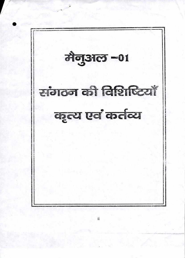मैनुअल -01 संगठन की विशिष्टियाँ कृत्य एवं कर्तव्य

ii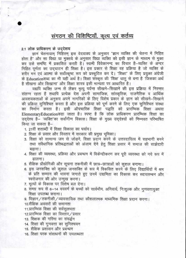## संगठन की विशिष्टियाँ, कृत्य एवं कर्तव्य

#### 2.1 लोक प्राधिकरण के उददेशय

ज्ञानं चेतनायाम् निहितम् इस वेदवाक्य के अनुसार "ज्ञान व्यक्ति की चेतना में निहित होता है" और सा विद्या या मुक्तये के अनुसार विद्या व्यक्ति को इसी ज्ञान के माध्यम से मुक्त कर उसे समष्टि में प्रकाशित करती है। स्वामी विवेकानन्द का विचार है-व्यक्ति के अन्दर निहित पूर्णता का उदघाटन ही शिक्षा है। इस प्रकार से शिक्षा वह प्रक्रिया है जो व्यक्ति के शरीर मन एवं आत्मा के सर्वोत्कृष्ट रूप को प्रस्फुटित कर दे। "शिक्षा" के लिए प्रयुक्त अंग्रेजी के Educationशब्द का भी यही अर्थ है। शिक्षा संस्कृत की 'शिक्ष' धात् से बना है 'जिसका अर्थ है सीखना और सिखाना' और शिक्षा शास्त्र इसी मान्यता पर आधारित है।

यद्यपि व्यक्ति जन्म से लेकर मृत्यु पर्यन्त सीखने-सिखाने की इस प्रक्रिया में निरन्तर संलग्न रहता है तथापि प्रत्येक देश अपनी सामाजिक, सांस्कृतिक, राजनैतिक व आर्थिक आवशयकताओं के अनुरूप अपने नागरिकों के लिए विशेष प्रकार के ज्ञान को सीखने-सिखाने की प्रक्रिया सुनिश्चित करता है और इस प्रक्रिया को पूर्ण करने के लिए एक सुनिश्चित संस्था का निर्माण करता है। इसी औपचारिक शिक्षा पद्धति को प्रारम्भिक शिक्षा अथवा ElementaryEducationकहा जाता है। स्पष्ट है कि लोक प्राधिकरण प्रारम्भिक शिक्षा का उद्देश्य है- 'व्यक्ति'का सर्वांगीण विकास। शिक्षा के मुख्य उद्देश्यों को निम्नवत परिभाषित किया जा सकता है–

- 1. 21वीं शताब्दी में शिक्षा विकास का पर्याय।
- 2. शिक्षा के प्रसार और विस्तार में सरकार की प्रमुख भूमिका।
- 3. शिक्षा को सामान्य जन से जोडने, शिक्षा प्रदान करने के उत्तरदायित्व में सहभागी बनने तथा संवैधानिक प्रतिबद्धताओं को अंजाम देने हेतु शिक्षा प्रसार में समाज की साझेदारी बढाना।
- 4. शिक्षा की व्यवस्था, प्रक्रिया और प्रबन्धन में विकेन्द्रीकरण कर पूरी व्यवस्था को नये रूप में ढालना।
- 5. शैक्षिक प्रौद्योगिकी और सूचना तकनीकी में छात्र-छात्राओं को कुशल बनाना।
- 6. इस जनशक्ति को कुशल जनशक्ति के रूप में विकसित करने के लिए विद्यार्थियों में श्रम के प्रति सम्मान की भावना जगाते हुए उनमें उद्यमिता का विकास कर स्वावलम्बन और स्वरोजगार की ओर उन्मुख करना।
- 7. मूल्यों के विकास पर विशेष बल देना।
- 8. समग्र रूप से 6-14 वयवर्ग के बच्चों को सार्वमौम, अनिवार्य, निःशुल्क और गुणवत्तायुक्त शिक्षा उपलब्ध कराना।
- 9. विज्ञान / तकनीकी / व्यावसायिक तथा कौशलात्मक माध्यमिक शिक्षा प्रदान करना।
- 10.शैक्षिक अवसरों की समानता
- 11.प्रारम्भिक शिक्षा की सर्वसुलभता
- 12.प्रारम्भिक शिक्षा का विस्तार / प्रसार
- 13. शिक्षक की गरिमा का संवर्द्धन
- 14. शिक्षा की गुणवत्ता का सुनिश्चयन
- 15. शैक्षिक प्रशासन और प्रबन्धन
- 16. शिक्षा परक संसाधनों की उपलब्धता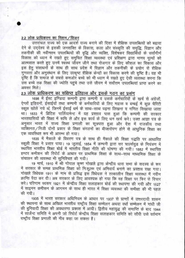#### 2.2 लोक प्राधिकरण का मिशन / विजन

उत्तरांचल राज्य को एक आदर्श राज्य बनाने की दिशा में शैक्षिक उपलब्धियों को बढ़ावा देने के उद्देश्य से इसकी जनशक्ति के विकास, कला और संस्कृति की समृद्धि, विज्ञान और तकनीकी की नवीनतम उपलब्धियों की वृद्धि और व्यक्ति, विशेषकर विद्यार्थियों के सर्वांगीर्ण विकास को ध्यान में रखते हुए समुचित शिक्षा व्यवस्था एवं प्रशिक्षण द्वारा मानव मूल्यों को आत्मसात करते हुए उनमें स्वस्थ जीवन जीने तथा रोजगार के लिए कौशल का विकास और इस हेतू संसाधनों के साथ ही साथ प्रदेश में विज्ञान और तकनीकी के प्रयोग से शैक्षिक गुणवत्ता और अनुसंधान के लिए उत्कृष्ट शैक्षिक केन्द्रों का विकास करने की दृष्टि है। यह भी दृष्टि है कि समाज के सबसे कमजोर बच्चे को भी ध्यान में रखते हुए ऐसी व्यवस्था करना कि उस बच्चे तक शिक्षा की ज्योति पहुंचे तथा उसे जीवन में सर्वोत्तम उपलब्धियां प्राप्त करने का अवसर मिले।

## 2.3 लोक प्राधिकरण का संक्षिप्त इतिहास और इसके गठन का प्रसंग

1698 में ईस्ट इण्डिया कम्पनी द्वारा कम्पनी व उसके कर्मचारियों के खर्च से अंग्रेजों ऐग्लों इडियनों, ईसाईयों तथा कम्पनी के कर्मचारियों के लिए मद्रास व बम्बई में कुछ चैरिटी स्कूल खोले गये थे, जिनमें ईसाई धर्म के साथ-साथ पढ़ना लिखना व गणित सिखाया जाता था। 1833 में ब्रिटिश पार्लियामेन्ट में यह प्रस्ताव पास हुआ कि कम्पनी की सरकार भारतवासियों की शिक्षा में रूचि ले और इस कार्य के लिए धन खर्च करे। उक्त आज्ञा पत्र के अनुसार भारत में राज्य शिक्षा प्रणाली का सूत्रपात हुआ और देश में राजकीय तथा व्यक्तिगत/निजी दोनों प्रकार के शिक्षा संगठनों का बीजारोपण होने से आधुनिक शिक्षा का एक व्यवस्थित रूप भी आरम्भ हो गया।

1835 में मैकाले के विवरण पत्र के साथ ही मैकाले की शिक्षा पद्धति पर आधारित स्कूली शिक्षा ने प्रसार पाया। 19 जुलाई, 1854 में कम्पनी द्वारा सर चार्ल्सवुड के नियंत्रण में स्थापित भारतीय शिक्षा बोर्ड में भारतीय शिक्षा नीति की घोषणा की गयी। 1882 में स्थापित हण्टर कमीशन की रिपोर्ट के आधार पर प्राथमिक शिक्षा के साथ-साथ माध्यमिक शिक्षा के संचालन की व्यवस्था भी सुनिश्चित की गयी।

19 मार्च, 1910 में श्री गोपाल कृष्ण गोखले द्वारा केन्द्रीय धारा सभा के सदस्य के रूप में सरकार के समक्ष प्राथमिक शिक्षा को निःशुल्क एवं अनिवार्य बनाने का प्रस्ताव रखा गया। गोखले विधेयक 1911 के नाम से प्रसिद्ध इस विधेयक ने तत्कालीन शिक्षा व्यवस्था में नवीन क्रान्ति पैदा कर दी। अब सरकार के लिए आवश्यक हो गया कि वह शिक्षा पर फिर से विचार करें। परिणाम स्वरूप 1921 में केन्द्रीय शिक्षा सलाहकार बोर्ड की स्थापना की गयी और 1927 में साइमन कमीसन के आगमन के साथ ही भारत में शिक्षा व्यवस्था की समीक्षा की भी पहल की गयी।

1935 में भारत सरकार अधिनियम के आधार पर 1937 से प्रान्तों में उत्तरदायी शासन की स्थापना के साथ अखिल भारतीय राष्ट्रीय शिक्षा सम्मेलन अथवा वर्धा सम्मेलन में गांधी जी की बुनियादी शिक्षा की अवधारणा प्रकाश में आयी। द्वितीय महायुद्ध की समाप्ति के बाद 1944 में सार्जेन्ट समिति ने अपनी जो रिपोर्ट केन्द्रीय शिक्षा सलाहकार समिति को सौंपी उसे वर्तमान राष्ट्रीय शिक्षा प्रणाली की नीव कहा जा सकता है।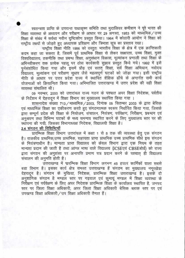स्वतन्त्रता प्राप्ति के उपरान्त राधाकृष्ण समिति तथा मुदालियर कमीशन ने पूरे भारत की शिक्षा व्यवस्था के अध्ययन और परीक्षण के आधार पर 29 अगस्त, 1953 को माध्यमिक/उच्च शिक्षा के संबंध में सर्वथा नवीन दृष्टिकोण प्रस्तुत किया। 1964 में कोठारी आयोग ने शिक्षा को राष्ट्रीय लक्ष्यों से जोड़ते हुए अध्यापक प्रशिक्षण और त्रिभाश सूत्र का प्रस्ताव रखा।

राष्ट्रीय शिक्षा नीति 1986 को वस्तुतः भारतीय शिक्षा के क्षेत्र में एक क्रान्तिकारी कदम कहा जा सकता है, जिसमें पूर्व प्राथमिक शिक्षा से लेकर साक्षरता, उच्च शिक्षा, मुक्त विश्वविद्यालय, तकनीकि तथा प्रबन्ध शिक्षा, अनुसंधान विकास, मूल्यांकन प्रणाली तथा शिक्षा के अभिनवीकरण तक प्रत्येक पहलू पर ठोस कार्यकारी सुझाव प्रस्तुत किये गये। 1992 में इसे पुर्नसंशोधित किया गया और इसमें प्रौढ़ एवं सतत् शिक्षा, सर्व शिक्षा अभियान, नवोदय विद्यालय, मूल्यांकन एवं परीक्षण सुधार जैसे महत्वपूर्ण घटकों को जोड़ा गया। इसी राष्ट्रीय नीति के आधार पर उत्तर प्रदेश राज्य में स्थापित शैक्षिक ढाँचे के अन्तर्गत सभी कार्य योजनाओं को क्रियान्वित किया गया। अभिभाजित उत्तराखण्ड में उत्तर प्रदेश की यही शिक्षा व्यवस्था संचालित थी।

09 नवम्बर, 2000 को उत्तरांचल राज्य गठन के पश्चात अपर शिक्षा निदेशक, पर्वतीय के निर्देशन में देहरादून में शिक्षा विभाग का मुख्यालय स्थापित किया गया ।

शासनादेश संख्या 713 / माध्यमिक / 2003, दिनाक 05 सितम्बर 2003 के द्वारा बेसिक एवं माध्यमिक शिक्षा का एकीकरण करते हुए संगठनात्मक स्वरूप निर्धारित किया गया, जिसके द्वारा सम्पूर्ण प्रदेश की शिक्षा के नियोजन, संचालन, नियंत्रण, पर्यवेक्षण, निरीक्षण, प्रबन्धन एवं अनुश्रवण तथा विभिन्न घटकों के मध्य समन्वय स्थापित करने के लिए मुख्यालय स्तर पर की स्थापना की गयी, जिसका विभागाध्यक्ष निदेशक, विद्यालयी शिक्षा है।

#### 2.4 संगठन की विशिष्टियाँ

प्रारम्भिक शिक्षा विभाग उत्तरांचल में कक्षा 1 से 8 तक की व्यवस्था हेतु एक संगठन है। राजकीय प्राथमिक,उच्च प्राथमिक, सहायता प्राप्त प्राथमिक उच्च प्राथमिक सीधे इस संगठन के नियंत्रणाधीन है। मान्यता प्राप्त विद्यालय को केवल विभाग द्वारा एक नियम के तहत मान्यता प्रदान की जाती है तथा आंग्ल भाषा वाले विद्यालय (ICSEएवं CBSEबोर्ड) को राज्य द्वारा संगठन की अनुशंसा पर अनापत्ति प्रमाण पत्र प्रदान करने के पश्चात ही विद्यालय संचालन की अनुमति होती है।

उत्तराखण्ड में पारम्भिक शिक्षा विभाग लगभग 45 हजार कार्मिकों वाला सबसे बड़ा विभाग है। इसका कार्य क्षेत्र समस्त उत्तराखण्ड हैं संगठन का मुख्यालय ननूरखेड़ा देहरादून है। संगठन के मुखिया, निदेशक, प्रारम्भिक शिक्षा उत्तराखण्ड है। इसके दो अनुशांगिक संगठन है मण्डल स्तर पर गढ़वाल एवं कुमायूं मण्डल में शिक्षा व्यवस्था के निरीक्षण एवं पर्यवेक्षण के लिए अपर निदेशक प्रारम्भिक शिक्षा के कार्यालय स्थापित है, जनपद रतर पर जिला शिक्षा अधिकारी, अपर जिला शिक्षा अधिकारी बेसिक ब्लाक स्तर पर एवं उपखण्ड शिक्षा अधिकारी / उप शिक्षा अधिकारी तैनात हैं।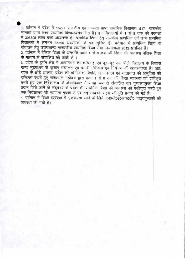1. वर्तमान में प्रदेश में 15297 राजकीय एवं मान्यता प्राप्त प्राथमिक विद्यालय, 5171 राजकीय मान्यता प्राप्त उच्च प्राथमिक विद्यालयसंचालित है। इन विद्यालयों में 1 से 8 तक की कक्षाओं में 398795 लाख बच्चे अध्यनरंत हैं। प्राथमिक शिक्षा हेतु राजकीय प्राथमिक एवं उच्च प्राथमिक विद्यालयों में लगभग 36396 अध्यापकों के पद सृजित हैं। वर्तमान में प्राथमिक शिक्षा के संचालन हेतु उत्तराखण्ड राज्यकीय प्राथमिक शिक्षा सेवा नियमावली 2012 प्रचलित हैं।

2. वर्तमान में बेसिक शिक्षा के अन्तर्गत कक्षा 1 से 8 तक की शिक्षा की व्यवस्था बेसिक शिक्षा के माध्यम से संचालित की जाती है ।

3. प्रदेश के दुर्गम क्षेत्र में आवागमन की कठिनाई एवं दूर—दूर तक फैले विद्यालय के विकास खण्ड मुख्यालय से कुशल संचालन एवं प्रमावी निरीक्षण एवं नियंत्रण की आवश्यकता है। अतः राज्य के छोटे आकार, प्रदेश की भौगोलिक रिथति, जन घनत्व एवं यातायात की असुविधा को दृष्टिगत रखते हुए राज्यपाल महोदय द्वारा कक्षा 1 से 8 तक की शिक्षा व्यवस्था को एकीकृत करते हुए एक निदेशालय के क्षेत्राधिकार में समग्र रूप से संचालित कर गुणवत्तायुक्त शिक्षा प्रदान किये जाने के उद्देश्य से प्रदेश की प्राथमिक शिक्षा की व्यवस्था को एकीकृत करते हुए एक निदेशालय की स्थापना पृथक से एवं तत् सम्बन्धी सहर्ष स्वीकृति प्रदान की गई है। 4. वर्तमान में शिक्षा व्यवस्था में एकरूपता लाने के लिये एन0सी0ई0आर0टी0 पाठ्यपुस्तकों की

व्यवस्था की गयी है।